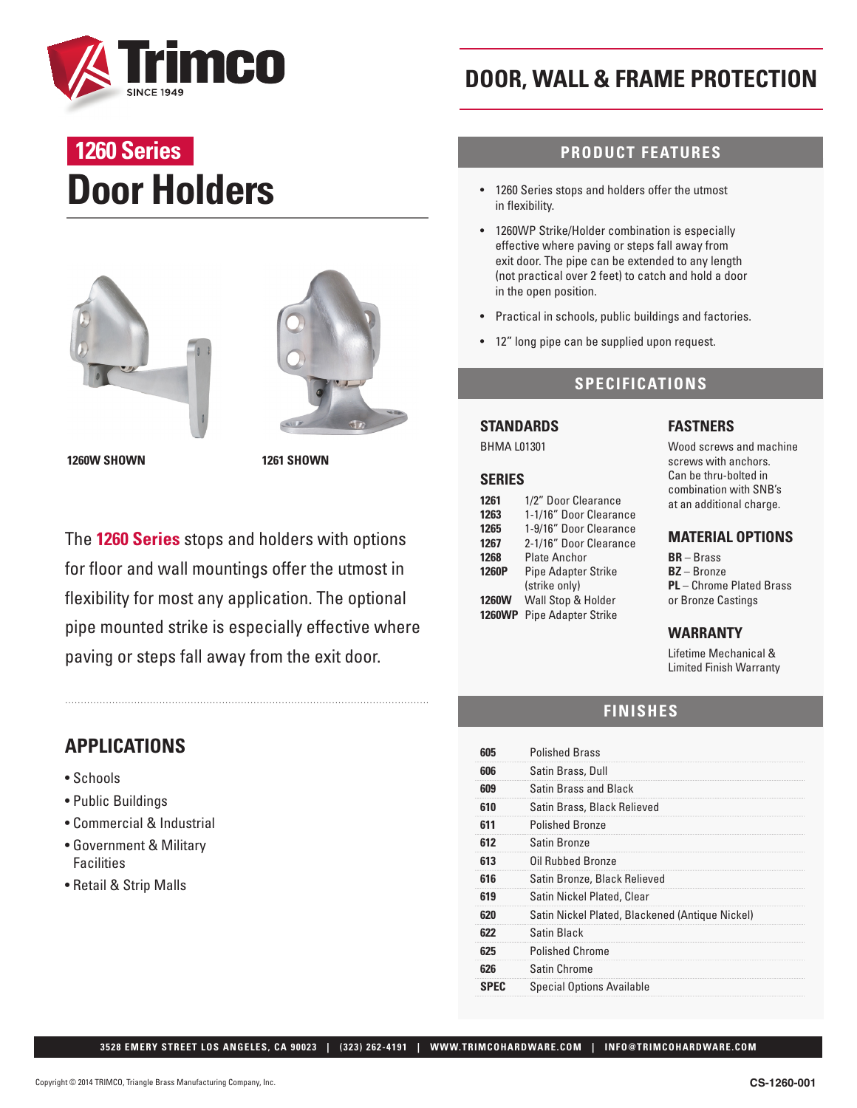

# **Door Holders 1260 Series**





**1260W SHOWN 1261 SHOWN**

The **1260 Series** stops and holders with options for floor and wall mountings offer the utmost in flexibility for most any application. The optional pipe mounted strike is especially effective where paving or steps fall away from the exit door.

## **APPLICATIONS**

- Schools
- Public Buildings
- Commercial & Industrial
- Government & Military Facilities
- Retail & Strip Malls

# **DOOR, WALL & FRAME PROTECTION**

## **PRODUCT FEATURES**

- 1260 Series stops and holders offer the utmost in flexibility.
- 1260WP Strike/Holder combination is especially effective where paving or steps fall away from exit door. The pipe can be extended to any length (not practical over 2 feet) to catch and hold a door in the open position.
- Practical in schools, public buildings and factories.
- 12" long pipe can be supplied upon request.

### **SPECIFICATIONS**

#### **STANDARDS**

BHMA L01301

#### **SERIES**

| 1261          | 1/2" Door Clearance        |
|---------------|----------------------------|
| 1263          | 1-1/16" Door Clearance     |
| 1265          | 1-9/16" Door Clearance     |
| 1267          | 2-1/16" Door Clearance     |
| 1268          | <b>Plate Anchor</b>        |
| 1260P         | <b>Pipe Adapter Strike</b> |
|               | (strike only)              |
| <b>1260W</b>  | Wall Stop & Holder         |
| <b>1260WP</b> | <b>Pipe Adapter Strike</b> |

#### **FASTNERS**

Wood screws and machine screws with anchors. Can be thru-bolted in combination with SNB's at an additional charge.

#### **MATERIAL OPTIONS**

**BR** – Brass **BZ** – Bronze **PL** – Chrome Plated Brass or Bronze Castings

#### **WARRANTY**

Lifetime Mechanical & Limited Finish Warranty

### **FINISHES**

| <b>SPEC</b> | <b>Special Options Available</b>                |
|-------------|-------------------------------------------------|
| 626         | Satin Chrome                                    |
| 625         | <b>Polished Chrome</b>                          |
| 622         | Satin Black                                     |
| 620         | Satin Nickel Plated, Blackened (Antique Nickel) |
| 619         | Satin Nickel Plated, Clear                      |
| 616         | Satin Bronze, Black Relieved                    |
| 613         | Oil Rubbed Bronze                               |
| 612         | Satin Bronze                                    |
| 611         | <b>Polished Bronze</b>                          |
| 610         | Satin Brass, Black Relieved                     |
| 609         | Satin Brass and Black                           |
| 606         | Satin Brass, Dull                               |
| 605         | <b>Polished Brass</b>                           |

 **3528 EMERY STREET LOS ANGELES, CA 90023 | (323) 262-4191 | WWW.TRIMCOHARDWARE.COM | INFO@TRIMCOHARDWARE.COM**